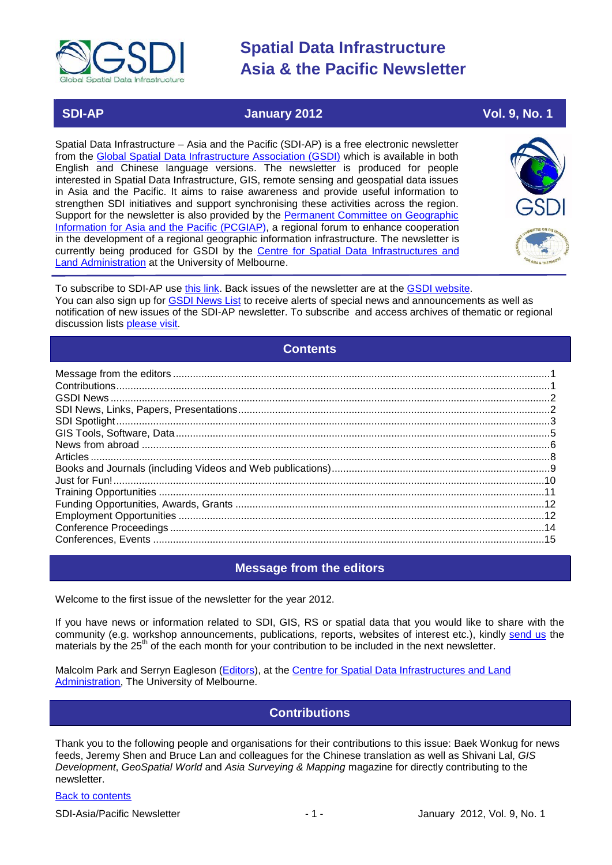

### **SDI-AP January 2012 Vol. 9, No. 1**

Spatial Data Infrastructure – Asia and the Pacific (SDI-AP) is a free electronic newsletter from the [Global Spatial Data Infrastructure Association \(GSDI\)](http://www.gsdi.org/) which is available in both English and Chinese language versions. The newsletter is produced for people interested in Spatial Data Infrastructure, GIS, remote sensing and geospatial data issues in Asia and the Pacific. It aims to raise awareness and provide useful information to strengthen SDI initiatives and support synchronising these activities across the region. Support for the newsletter is also provided by the Permanent Committee on Geographic [Information for Asia and the Pacific \(PCGIAP\)](http://www.pcgiap.org/), a regional forum to enhance cooperation in the development of a regional geographic information infrastructure. The newsletter is currently being produced for GSDI by the [Centre for Spatial Data Infrastructures and](http://www.csdila.unimelb.edu.au/)  [Land Administration](http://www.csdila.unimelb.edu.au/) at the University of Melbourne.



To subscribe to SDI-AP use [this link.](http://www.gsdi.org/newslist/gsdisubscribe.asp) Back issues of the newsletter are at the [GSDI website.](http://www.gsdi.org/newsletters.asp) You can also sign up for **GSDI News List** to receive alerts of special news and announcements as well as notification of new issues of the SDI-AP newsletter. To subscribe and access archives of thematic or regional discussion lists [please visit.](http://www.gsdi.org/discussionlists.asp)

### **Contents**

<span id="page-0-0"></span>

### **Message from the editors**

<span id="page-0-1"></span>Welcome to the first issue of the newsletter for the year 2012.

If you have news or information related to SDI, GIS, RS or spatial data that you would like to share with the community (e.g. workshop announcements, publications, reports, websites of interest etc.), kindly [send us](mailto:.SDI-AP@gsdi.org) the materials by the 25<sup>th</sup> of the each month for your contribution to be included in the next newsletter.

<span id="page-0-2"></span>Malcolm Park and Serryn Eagleson [\(Editors\)](mailto:Editor.SDIAP@gmail.com), at the [Centre for Spatial Data Infrastructures and Land](http://www.csdila.unimelb.edu.au/)  [Administration,](http://www.csdila.unimelb.edu.au/) The University of Melbourne.

## **Contributions**

Thank you to the following people and organisations for their contributions to this issue: Baek Wonkug for news feeds, Jeremy Shen and Bruce Lan and colleagues for the Chinese translation as well as Shivani Lal, *GIS Development*, *GeoSpatial World* and *Asia Surveying & Mapping* magazine for directly contributing to the newsletter.

#### [Back to contents](#page-0-0)

SDI-Asia/Pacific Newsletter 1992 1 - 1 - 1 - January 2012, Vol. 9, No. 1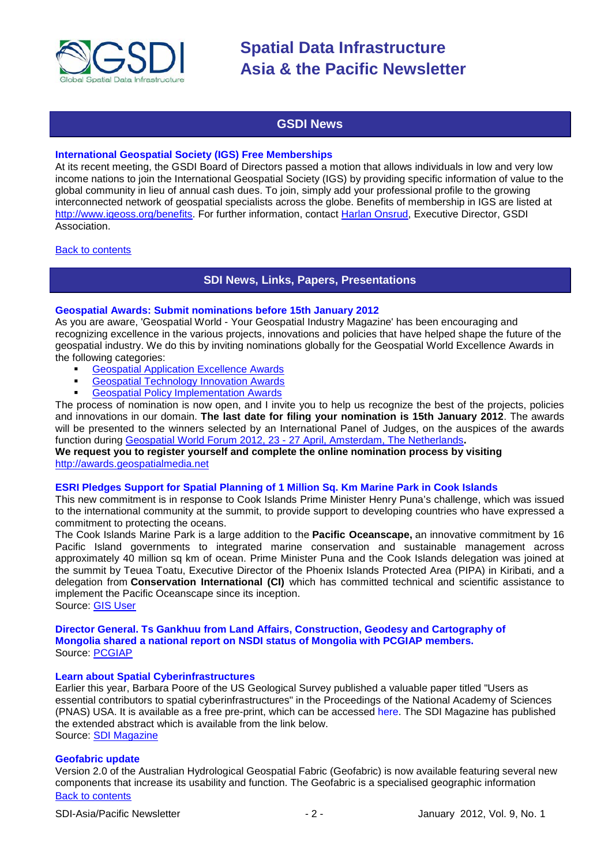

## **GSDI News**

#### <span id="page-1-0"></span>**International Geospatial Society (IGS) Free Memberships**

At its recent meeting, the GSDI Board of Directors passed a motion that allows individuals in low and very low income nations to join the International Geospatial Society (IGS) by providing specific information of value to the global community in lieu of annual cash dues. To join, simply add your professional profile to the growing interconnected network of geospatial specialists across the globe. Benefits of membership in IGS are listed at [http://www.igeoss.org/benefits.](https://owa.unimelb.edu.au/owa/redir.aspx?C=54c2b4d3973d480282dc7c38384f4204&URL=http%3a%2f%2fwww.igeoss.org%2fbenefits) For further information, contact [Harlan Onsrud,](mailto:onsrud@gsdi.org) Executive Director, GSDI Association.

#### <span id="page-1-1"></span>[Back to contents](#page-0-0)

#### **SDI News, Links, Papers, Presentations**

#### **Geospatial Awards: Submit nominations before 15th January 2012**

As you are aware, 'Geospatial World - Your Geospatial Industry Magazine' has been encouraging and recognizing excellence in the various projects, innovations and policies that have helped shape the future of the geospatial industry. We do this by inviting nominations globally for the Geospatial World Excellence Awards in the following categories:

- [Geospatial Application Excellence Awards](http://awards.geospatialmedia.net/)<br>
Geospatial Technology Innovation Awards
- [Geospatial Technology Innovation Awards](http://awards.geospatialmedia.net/)
- [Geospatial Policy Implementation Awards](http://awards.geospatialmedia.net/)

The process of nomination is now open, and I invite you to help us recognize the best of the projects, policies and innovations in our domain. **The last date for filing your nomination is 15th January 2012**. The awards will be presented to the winners selected by an International Panel of Judges, on the auspices of the awards function during Geospatial World Forum 2012, 23 - [27 April, Amsterdam, The Netherlands](http://www.geospatialworldforum.org/)**.**

#### **We request you to register yourself and complete the online nomination process by visiting**  [http://awards.geospatialmedia.net](http://awards.geospatialmedia.net/)

#### **ESRI Pledges Support for Spatial Planning of 1 Million Sq. Km Marine Park in Cook Islands**

This new commitment is in response to Cook Islands Prime Minister Henry Puna's challenge, which was issued to the international community at the summit, to provide support to developing countries who have expressed a commitment to protecting the oceans.

The Cook Islands Marine Park is a large addition to the **Pacific Oceanscape,** an innovative commitment by 16 Pacific Island governments to integrated marine conservation and sustainable management across approximately 40 million sq km of ocean. Prime Minister Puna and the Cook Islands delegation was joined at the summit by Teuea Toatu, Executive Director of the Phoenix Islands Protected Area (PIPA) in Kiribati, and a delegation from **Conservation International (CI)** which has committed technical and scientific assistance to implement the Pacific Oceanscape since its inception.

Source: [GIS User](http://www.gisuser.com/content/view/25433/2/)

#### **Director General. Ts Gankhuu from Land Affairs, Construction, Geodesy and Cartography of Mongolia shared a national report on NSDI status of Mongolia with PCGIAP members.** Source: [PCGIAP](http://www.pcgiap.org/sitebbsNoteView.do?infoid=6&dataid=68&nm=National%20News&page=1&search_type=0&search_value=)

#### **[Learn about Spatial Cyberinfrastructures](http://www.sdimag.com/contributin-to-spatial-cyberinfrastructures-paper.html)**

Earlier this year, Barbara Poore of the US Geological Survey published a valuable paper titled "Users as essential contributors to spatial cyberinfrastructures" in the Proceedings of the National Academy of Sciences (PNAS) USA. It is available as a free pre-print, which can be accessed [here.](http://www.pnas.org/content/108/14/5510.full) The SDI Magazine has published the extended abstract which is available from the link below. Source: [SDI Magazine](http://www.sdimag.com/contributin-to-spatial-cyberinfrastructures-paper.html)

#### **Geofabric update**

[Back to contents](#page-0-0) Version 2.0 of the Australian Hydrological Geospatial Fabric (Geofabric) is now available featuring several new components that increase its usability and function. The Geofabric is a specialised geographic information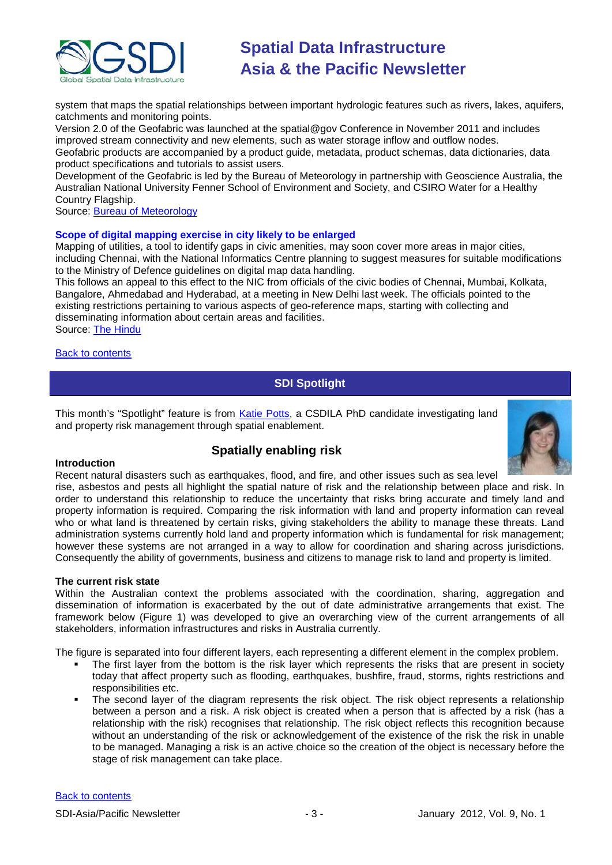

system that maps the spatial relationships between important hydrologic features such as rivers, lakes, aquifers, catchments and monitoring points.

Version 2.0 of the Geofabric was launched at the spatial@gov Conference in November 2011 and includes improved stream connectivity and new elements, such as water storage inflow and outflow nodes. Geofabric products are accompanied by a product guide, metadata, product schemas, data dictionaries, data product specifications and tutorials to assist users.

Development of the Geofabric is led by the Bureau of Meteorology in partnership with Geoscience Australia, the Australian National University Fenner School of Environment and Society, and CSIRO Water for a Healthy Country Flagship.

Source: [Bureau of Meteorology](http://www.bom.gov.au/water/geofabric/index.shtml)

#### **Scope of digital mapping exercise in city likely to be enlarged**

Mapping of utilities, a tool to identify gaps in civic amenities, may soon cover more areas in major cities, including Chennai, with the National Informatics Centre planning to suggest measures for suitable modifications to the Ministry of Defence guidelines on digital map data handling.

This follows an appeal to this effect to the NIC from officials of the civic bodies of Chennai, Mumbai, Kolkata, Bangalore, Ahmedabad and Hyderabad, at a meeting in New Delhi last week. The officials pointed to the existing restrictions pertaining to various aspects of geo-reference maps, starting with collecting and disseminating information about certain areas and facilities. Source: [The Hindu](http://www.thehindu.com/news/cities/chennai/article2745099.ece?homepage=true)

<span id="page-2-0"></span>**[Back to contents](#page-0-0)** 

### **SDI Spotlight**

This month's "Spotlight" feature is from [Katie Potts,](http://www.csdila.unimelb.edu.au/people/rteam/katie.html) a CSDILA PhD candidate investigating land and property risk management through spatial enablement.

## **Spatially enabling risk**



#### **Introduction**

Recent natural disasters such as earthquakes, flood, and fire, and other issues such as sea level

rise, asbestos and pests all highlight the spatial nature of risk and the relationship between place and risk. In order to understand this relationship to reduce the uncertainty that risks bring accurate and timely land and property information is required. Comparing the risk information with land and property information can reveal who or what land is threatened by certain risks, giving stakeholders the ability to manage these threats. Land administration systems currently hold land and property information which is fundamental for risk management; however these systems are not arranged in a way to allow for coordination and sharing across jurisdictions. Consequently the ability of governments, business and citizens to manage risk to land and property is limited.

#### **The current risk state**

Within the Australian context the problems associated with the coordination, sharing, aggregation and dissemination of information is exacerbated by the out of date administrative arrangements that exist. The framework below (Figure 1) was developed to give an overarching view of the current arrangements of all stakeholders, information infrastructures and risks in Australia currently.

The figure is separated into four different layers, each representing a different element in the complex problem.

- The first layer from the bottom is the risk layer which represents the risks that are present in society today that affect property such as flooding, earthquakes, bushfire, fraud, storms, rights restrictions and responsibilities etc.
- The second layer of the diagram represents the risk object. The risk object represents a relationship between a person and a risk. A risk object is created when a person that is affected by a risk (has a relationship with the risk) recognises that relationship. The risk object reflects this recognition because without an understanding of the risk or acknowledgement of the existence of the risk the risk in unable to be managed. Managing a risk is an active choice so the creation of the object is necessary before the stage of risk management can take place.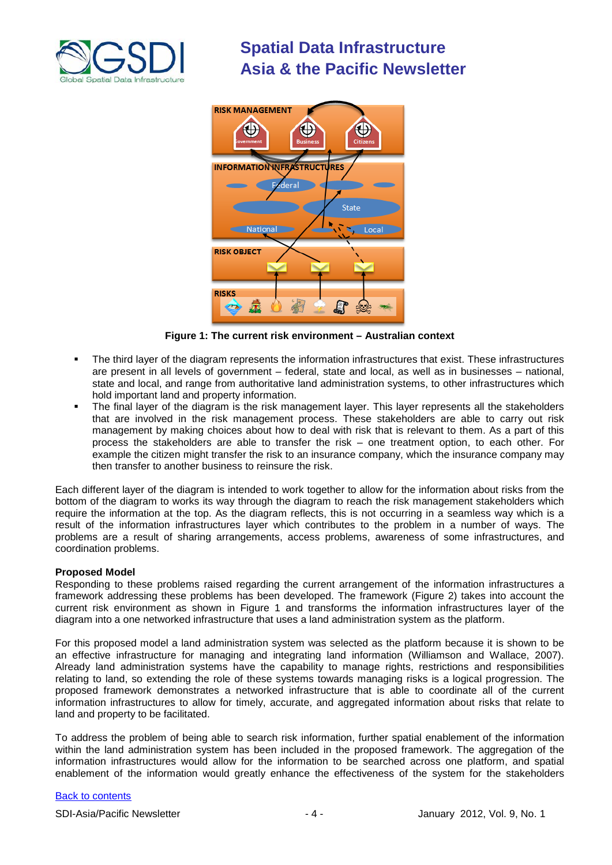



**Figure 1: The current risk environment – Australian context**

- The third layer of the diagram represents the information infrastructures that exist. These infrastructures are present in all levels of government – federal, state and local, as well as in businesses – national, state and local, and range from authoritative land administration systems, to other infrastructures which hold important land and property information.
- The final layer of the diagram is the risk management layer. This layer represents all the stakeholders that are involved in the risk management process. These stakeholders are able to carry out risk management by making choices about how to deal with risk that is relevant to them. As a part of this process the stakeholders are able to transfer the risk – one treatment option, to each other. For example the citizen might transfer the risk to an insurance company, which the insurance company may then transfer to another business to reinsure the risk.

Each different layer of the diagram is intended to work together to allow for the information about risks from the bottom of the diagram to works its way through the diagram to reach the risk management stakeholders which require the information at the top. As the diagram reflects, this is not occurring in a seamless way which is a result of the information infrastructures layer which contributes to the problem in a number of ways. The problems are a result of sharing arrangements, access problems, awareness of some infrastructures, and coordination problems.

#### **Proposed Model**

Responding to these problems raised regarding the current arrangement of the information infrastructures a framework addressing these problems has been developed. The framework (Figure 2) takes into account the current risk environment as shown in Figure 1 and transforms the information infrastructures layer of the diagram into a one networked infrastructure that uses a land administration system as the platform.

For this proposed model a land administration system was selected as the platform because it is shown to be an effective infrastructure for managing and integrating land information (Williamson and Wallace, 2007). Already land administration systems have the capability to manage rights, restrictions and responsibilities relating to land, so extending the role of these systems towards managing risks is a logical progression. The proposed framework demonstrates a networked infrastructure that is able to coordinate all of the current information infrastructures to allow for timely, accurate, and aggregated information about risks that relate to land and property to be facilitated.

To address the problem of being able to search risk information, further spatial enablement of the information within the land administration system has been included in the proposed framework. The aggregation of the information infrastructures would allow for the information to be searched across one platform, and spatial enablement of the information would greatly enhance the effectiveness of the system for the stakeholders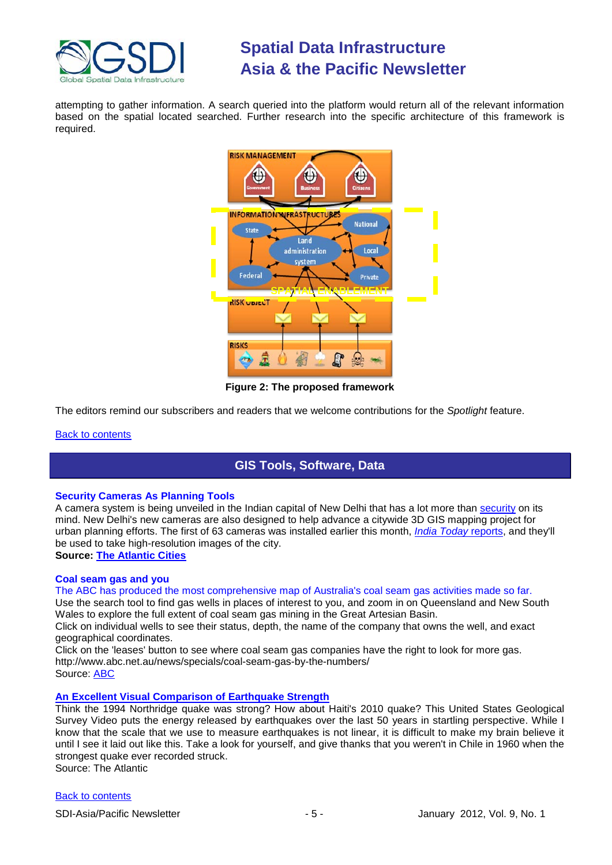

attempting to gather information. A search queried into the platform would return all of the relevant information based on the spatial located searched. Further research into the specific architecture of this framework is required.



**Figure 2: The proposed framework**

The editors remind our subscribers and readers that we welcome contributions for the *Spotlight* feature.

#### <span id="page-4-0"></span>**[Back to contents](#page-0-0)**

## **GIS Tools, Software, Data**

#### **Security Cameras As Planning Tools**

A camera system is being unveiled in the Indian capital of New Delhi that has a lot more than [security](http://www.theatlanticcities.com/technology/2011/12/crime-cameras-worth-the-money/693/) on its mind. New Delhi's new cameras are also designed to help advance a citywide 3D GIS mapping project for urban planning efforts. The first of 63 cameras was installed earlier this month, *[India Today](http://indiatoday.intoday.in/story/new-delhi-gets-powerful-monitoring-cameras/1/164490.html)* reports, and they'll be used to take high-resolution images of the city.

## **Source: [The Atlantic Cities](http://www.theatlanticcities.com/technology/2011/12/security-cameras-planning-tools/747/)**

#### **Coal seam gas and you**

The ABC has produced the most comprehensive map of Australia's coal seam gas activities made so far. Use the search tool to find gas wells in places of interest to you, and zoom in on Queensland and New South

Wales to explore the full extent of coal seam gas mining in the Great Artesian Basin.

Click on individual wells to see their status, depth, the name of the company that owns the well, and exact geographical coordinates.

Click on the 'leases' button to see where coal seam gas companies have the right to look for more gas. http://www.abc.net.au/news/specials/coal-seam-gas-by-the-numbers/ Source: [ABC](http://www.abc.net.au/news/specials/coal-seam-gas-by-the-numbers/)

## **[An Excellent Visual Comparison of Earthquake Strength](http://www.theatlantic.com/technology/archive/2011/12/an-excellent-visual-comparison-of-earthquake-strength/249806/)**

Think the 1994 Northridge quake was strong? How about Haiti's 2010 quake? This United States Geological Survey Video puts the energy released by earthquakes over the last 50 years in startling perspective. While I know that the scale that we use to measure earthquakes is not linear, it is difficult to make my brain believe it until I see it laid out like this. Take a look for yourself, and give thanks that you weren't in Chile in 1960 when the strongest quake ever recorded struck. Source: The Atlantic

#### [Back to contents](#page-0-0)

SDI-Asia/Pacific Newsletter 1992 12: All the state of the SDI-Asia/Pacific Newsletter 1997 12: 10: 10: 10: 10: 1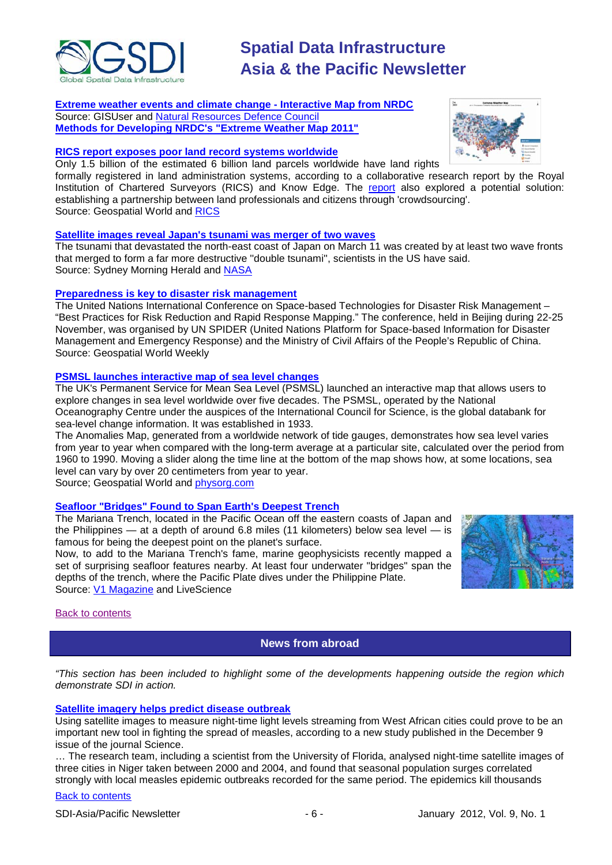

**[Extreme weather events and climate change -](http://www.gisuser.com/content/view/25340/2/) Interactive Map from NRDC** Source: GISUser and [Natural Resources Defence Council](http://www.nrdc.org/health/climate/) **[Methods for Developing NRDC's "Extreme Weather Map 2011"](http://www.nrdc.org/health/extremeweather/methods.asp)**

#### **[RICS report exposes poor land record systems worldwide](http://geospatialworld.net/index.php?option=com_content&view=article&id=23559%3Arics-report-exposes-poor-land-record-system-worldwide&catid=72%3Abusiness-market-survey-research&Itemid=1)**

Only 1.5 billion of the estimated 6 billion land parcels worldwide have land rights

formally registered in land administration systems, according to a collaborative research report by the Royal Institution of Chartered Surveyors (RICS) and Know Edge. The [report](http://www.rics.org/site/scripts/download_info.aspx?downloadID=8083) also explored a potential solution: establishing a partnership between land professionals and citizens through 'crowdsourcing'. Source: Geospatial World and [RICS](http://www.rics.org/site/scripts/news_article.aspx?newsID=2517)

#### **[Satellite images reveal Japan's tsunami was merger of](http://www.smh.com.au/environment/satellite-images-reveal-japans-tsunami-was-merger-of-two-waves-20111208-1ol9d.html) two waves**

The tsunami that devastated the north-east coast of Japan on March 11 was created by at least two wave fronts that merged to form a far more destructive ''double tsunami'', scientists in the US have said. Source: Sydney Morning Herald and [NASA](http://www.nasa.gov/topics/earth/features/tsunami20111205.html)

#### **[Preparedness is key to disaster risk management](http://geospatialworld.net/index.php?option=com_content&view=article&id=23595%3Apreparedness-is-key-to-disaster-risk-management&catid=75%3Amiscellaneous-events&Itemid=1)**

The United Nations International Conference on Space-based Technologies for Disaster Risk Management – "Best Practices for Risk Reduction and Rapid Response Mapping." The conference, held in Beijing during 22-25 November, was organised by UN SPIDER (United Nations Platform for Space-based Information for Disaster Management and Emergency Response) and the Ministry of Civil Affairs of the People's Republic of China. Source: Geospatial World Weekly

#### **[PSMSL launches interactive map of sea level changes](http://geospatialworld.net/index.php?option=com_content&view=article&id=23546%3Apsmsl-launches-interactive-map-of-sea-level-changes&catid=48%3Aproduct-cartography-map-publishing&Itemid=1)**

The UK's Permanent Service for Mean Sea Level (PSMSL) launched an interactive map that allows users to explore changes in sea level worldwide over five decades. The PSMSL, operated by the National Oceanography Centre under the auspices of the International Council for Science, is the global databank for sea-level change information. It was established in 1933.

The Anomalies Map, generated from a worldwide network of tide gauges, demonstrates how sea level varies from year to year when compared with the long-term average at a particular site, calculated over the period from 1960 to 1990. Moving a slider along the time line at the bottom of the map shows how, at some locations, sea level can vary by over 20 centimeters from year to year.

Source; Geospatial World and [physorg.com](http://www.physorg.com/news/2011-11-interactive-sea.html)

### **[Seafloor "Bridges" Found to Span Earth's Deepest](http://www.livescience.com/17673-seafloor-bridges-span-deepest-ocean-trench.html) Trench**

The Mariana Trench, located in the Pacific Ocean off the eastern coasts of Japan and the Philippines — at a depth of around 6.8 miles (11 kilometers) below sea level — is famous for being the deepest point on the planet's surface.

Now, to add to the Mariana Trench's fame, marine geophysicists recently mapped a set of surprising seafloor features nearby. At least four underwater "bridges" span the depths of the trench, where the Pacific Plate dives under the Philippine Plate. Source: **V1 Magazine** and LiveScience



<span id="page-5-0"></span>[Back to contents](#page-0-0)

**News from abroad**

*"This section has been included to highlight some of the developments happening outside the region which demonstrate SDI in action.*

#### **[Satellite imagery helps predict disease outbreak](http://geospatialworld.net/index.php?option=com_content&view=article&id=23628:satellite-imagery-helps-predict-disease-outbreak&catid=56&Itemid=1)**

Using satellite images to measure night-time light levels streaming from West African cities could prove to be an important new tool in fighting the spread of measles, according to a new study published in the December 9 issue of the journal Science.

… The research team, including a scientist from the University of Florida, analysed night-time satellite images of three cities in Niger taken between 2000 and 2004, and found that seasonal population surges correlated strongly with local measles epidemic outbreaks recorded for the same period. The epidemics kill thousands

#### [Back to contents](#page-0-0)

SDI-Asia/Pacific Newsletter  $\sim$  - 6 - The Summary 2012, Vol. 9, No. 1

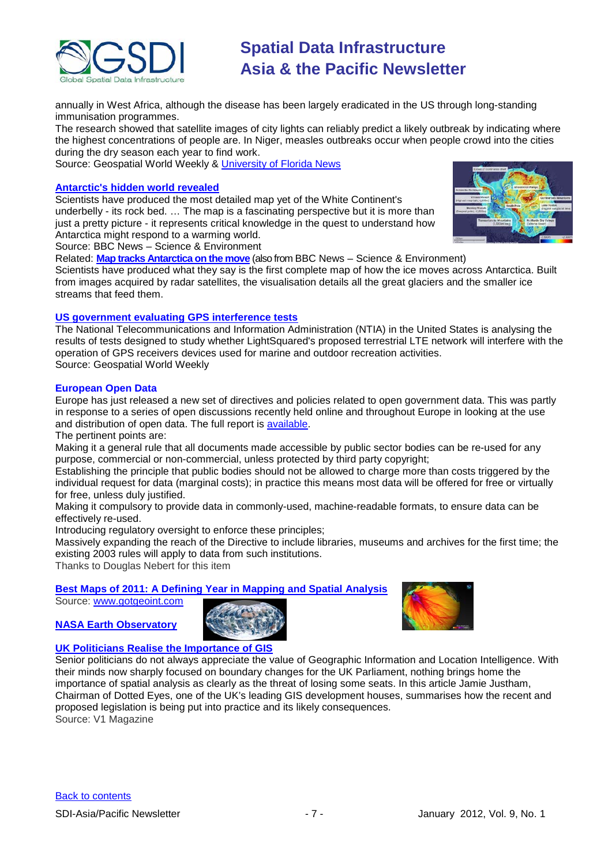

annually in West Africa, although the disease has been largely eradicated in the US through long-standing immunisation programmes.

The research showed that satellite images of city lights can reliably predict a likely outbreak by indicating where the highest concentrations of people are. In Niger, measles outbreaks occur when people crowd into the cities during the dry season each year to find work.

Source: Geospatial World Weekly & [University of Florida News](http://news.ufl.edu/2011/12/08/mapping-measles/)

#### **[Antarctic's hidden world revealed](http://www.bbc.co.uk/news/science-environment-15735625)**

Scientists have produced the most detailed map yet of the White Continent's underbelly - its rock bed. … The map is a fascinating perspective but it is more than just a pretty picture - it represents critical knowledge in the quest to understand how Antarctica might respond to a warming world.



Source: BBC News – Science & Environment

Related: **[Map tracks Antarctica on the move](http://www.bbc.co.uk/news/science-environment-14592547)** (also from BBC News – Science & Environment) Scientists have produced what they say is the first complete map of how the ice moves across Antarctica. Built from images acquired by radar satellites, the visualisation details all the great glaciers and the smaller ice streams that feed them.

#### **[US government evaluating GPS interference tests](http://geospatialworld.net/index.php?option=com_content&view=article&id=23583%3Aus-government-evaluating-gps-interference-tests&catid=43%3Aproduct-gps&Itemid=1)**

The National Telecommunications and Information Administration (NTIA) in the United States is analysing the results of tests designed to study whether LightSquared's proposed terrestrial LTE network will interfere with the operation of GPS receivers devices used for marine and outdoor recreation activities. Source: Geospatial World Weekly

#### **European Open Data**

Europe has just released a new set of directives and policies related to open government data. This was partly in response to a series of open discussions recently held online and throughout Europe in looking at the use and distribution of open data. The full report is [available.](http://europa.eu/rapid/pressReleasesAction.do?reference=IP/11/1524&format=HTML&aged=0&language=EN&guiLanguage=en)

The pertinent points are:

Making it a general rule that all documents made accessible by public sector bodies can be re-used for any purpose, commercial or non-commercial, unless protected by third party copyright;

Establishing the principle that public bodies should not be allowed to charge more than costs triggered by the individual request for data (marginal costs); in practice this means most data will be offered for free or virtually for free, unless duly justified.

Making it compulsory to provide data in commonly-used, machine-readable formats, to ensure data can be effectively re-used.

Introducing regulatory oversight to enforce these principles;

Massively expanding the reach of the Directive to include libraries, museums and archives for the first time; the existing 2003 rules will apply to data from such institutions.

Thanks to Douglas Nebert for this item

### **[Best Maps of 2011: A Defining Year in Mapping and Spatial Analysis](http://www.gotgeoint.com/archives/best-maps-of-2011-a-defining-year-in-mapping-and-spatial-analysis/)**

Source: [www.gotgeoint.com](http://www.gotgeoint.com/)

### **[NASA Earth Observatory](http://earthobservatory.nasa.gov/)**





#### **[UK Politicians Realise the Importance of GIS](http://www.vector1media.com/article/features/24725-uk-politicians-realise-the-importance-of-gis.html)**

Senior politicians do not always appreciate the value of Geographic Information and Location Intelligence. With their minds now sharply focused on boundary changes for the UK Parliament, nothing brings home the importance of spatial analysis as clearly as the threat of losing some seats. In this article Jamie Justham, Chairman of Dotted Eyes, one of the UK's leading GIS development houses, summarises how the recent and proposed legislation is being put into practice and its likely consequences. Source: V1 Magazine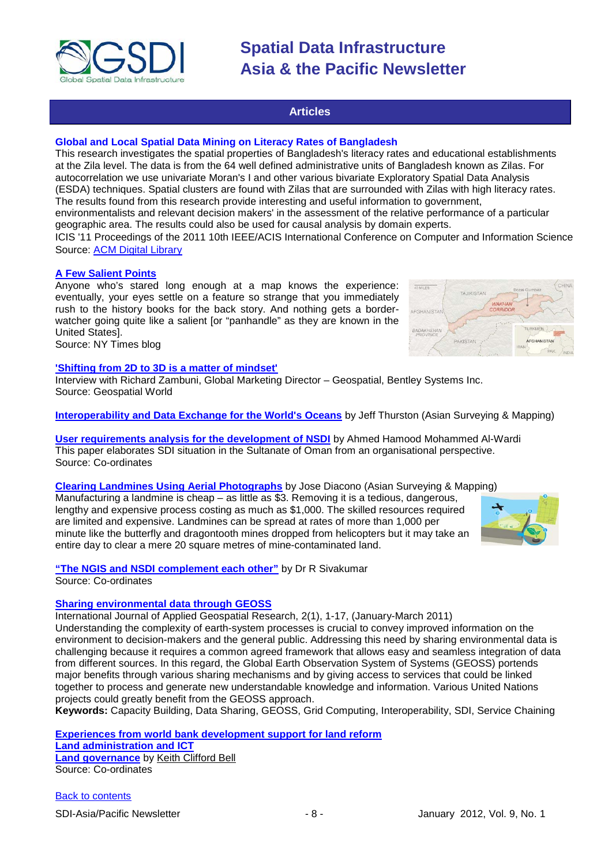

#### **Articles**

#### <span id="page-7-0"></span>**Global and Local Spatial Data Mining on Literacy Rates of Bangladesh**

This research investigates the spatial properties of Bangladesh's literacy rates and educational establishments at the Zila level. The data is from the 64 well defined administrative units of Bangladesh known as Zilas. For autocorrelation we use univariate Moran's I and other various bivariate Exploratory Spatial Data Analysis (ESDA) techniques. Spatial clusters are found with Zilas that are surrounded with Zilas with high literacy rates. The results found from this research provide interesting and useful information to government, environmentalists and relevant decision makers' in the assessment of the relative performance of a particular

geographic area. The results could also be used for causal analysis by domain experts. ICIS '11 Proceedings of the 2011 10th IEEE/ACIS International Conference on Computer and Information Science

Source: [ACM Digital Library](http://dl.acm.org/citation.cfm?id=2083937&dl=ACM)

#### **[A Few Salient Points](http://opinionator.blogs.nytimes.com/2011/12/05/a-few-salient-points/?hp)**

Anyone who's stared long enough at a map knows the experience: eventually, your eyes settle on a feature so strange that you immediately rush to the history books for the back story. And nothing gets a borderwatcher going quite like a salient [or "panhandle" as they are known in the United States].

Source: NY Times blog

#### **['Shifting from 2D to 3D is a matter of mindset'](http://geospatialworld.net/index.php?option=com_interview&int=1&view=managetemplate&id=222&Itemid=138)**

Interview with Richard Zambuni, Global Marketing Director – Geospatial, Bentley Systems Inc. Source: Geospatial World

**[Interoperability and Data Exchange for the World's Oceans](http://www.asmmag.com/201112092754/interoperability-and-data-exchange-for-the-worlds-oceans.html)** by Jeff Thurston (Asian Surveying & Mapping)

**[User requirements analysis for the development of NSDI](http://mycoordinates.org/user-requirements-analysis-for-the-development-of-nsdi/)** by [Ahmed Hamood Mohammed Al-Wardi](http://mycoordinates.org/tag/ahmed-hamood-mohammed-al-wardi/) This paper elaborates SDI situation in the Sultanate of Oman from an organisational perspective. Source: Co-ordinates

**Clearing Landmines Using Aerial Photographs** by Jose Diacono (Asian Surveying & Mapping) Manufacturing a landmine is cheap – as little as \$3. Removing it is a tedious, dangerous, lengthy and expensive process costing as much as \$1,000. The skilled resources required are limited and expensive. Landmines can be spread at rates of more than 1,000 per minute like the butterfly and dragontooth mines dropped from helicopters but it may take an entire day to clear a mere 20 square metres of mine-contaminated land.

**["The NGIS and NSDI complement each other"](http://mycoordinates.org/%E2%80%9Cthe-ngis-and-nsdi-complement-each-other%E2%80%9D/)** by Dr R Sivakumar Source: Co-ordinates

#### **[Sharing environmental data through GEOSS](http://www.unige.ch/climate/Publications/Beniston/JAGR2011.pdf)**

International Journal of Applied Geospatial Research, 2(1), 1-17, (January-March 2011)

Understanding the complexity of earth-system processes is crucial to convey improved information on the environment to decision-makers and the general public. Addressing this need by sharing environmental data is challenging because it requires a common agreed framework that allows easy and seamless integration of data from different sources. In this regard, the Global Earth Observation System of Systems (GEOSS) portends major benefits through various sharing mechanisms and by giving access to services that could be linked together to process and generate new understandable knowledge and information. Various United Nations projects could greatly benefit from the GEOSS approach.

**Keywords:** Capacity Building, Data Sharing, GEOSS, Grid Computing, Interoperability, SDI, Service Chaining

**[Experiences from world bank development support for land reform](http://mycoordinates.org/experiences-from-world-bank-development-support-for-land-reform/) [Land administration and ICT](http://mycoordinates.org/experiences-from-world-bank-development-support-for-land-reform-2/) [Land governance](http://mycoordinates.org/land-governance/)** by [Keith Clifford Bell](http://mycoordinates.org/tag/keith-clifford-bell/) Source: Co-ordinates



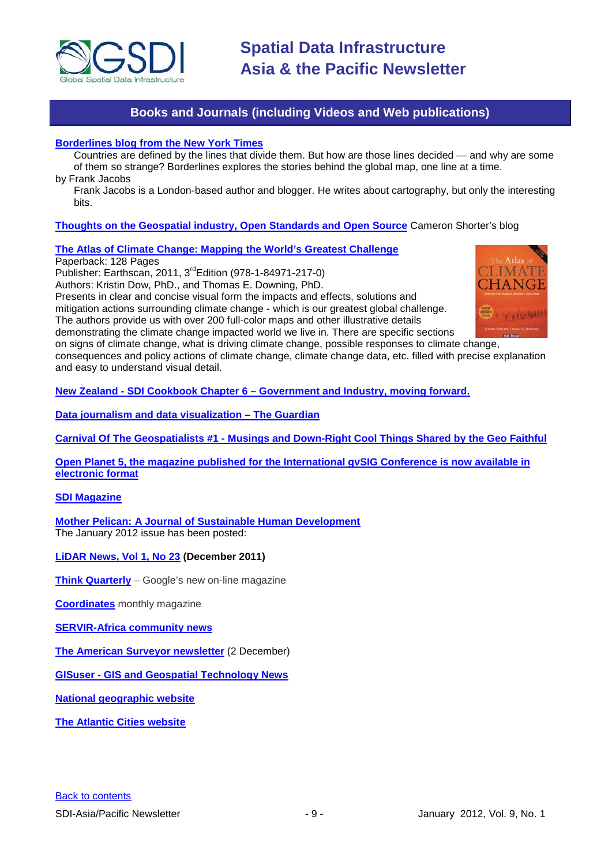

## **Books and Journals (including Videos and Web publications)**

#### <span id="page-8-0"></span>**[Borderlines blog from the New York Times](http://opinionator.blogs.nytimes.com/category/borderlines/)**

Countries are defined by the lines that divide them. But how are those lines decided — and why are some of them so strange? Borderlines explores the stories behind the global map, one line at a time. by Frank Jacobs

Frank Jacobs is a London-based author and blogger. He writes about cartography, but only the interesting bits.

#### **[Thoughts on the Geospatial industry, Open Standards and Open Source](http://cameronshorter.blogspot.com/2011/06/memoirs-of-cat-herder-coordinating.html)** Cameron Shorter's blog

#### **[The Atlas of Climate Change: Mapping the World's Greatest Challenge](http://www.amazon.com/exec/obidos/ASIN/1849712174/mongabay07-20)**

Paperback: 128 Pages

Publisher: Earthscan, 2011, 3rdEdition (978-1-84971-217-0)

Authors: Kristin Dow, PhD., and Thomas E. Downing, PhD.

Presents in clear and concise visual form the impacts and effects, solutions and

mitigation actions surrounding climate change - which is our greatest global challenge. The authors provide us with over 200 full-color maps and other illustrative details

demonstrating the climate change impacted world we live in. There are specific sections

on signs of climate change, what is driving climate change, possible responses to climate change,

consequences and policy actions of climate change, climate change data, etc. filled with precise explanation and easy to understand visual detail.

**New Zealand - SDI Cookbook Chapter 6 – [Government and Industry, moving forward.](http://www.geospatial.govt.nz/sdi-cookbook-chapter-6-government-and-industry-moving-forward)**

**[Data journalism and data visualization –](http://www.guardian.co.uk/data) The Guardian**

**Carnival Of The Geospatialists #1 - [Musings and Down-Right Cool Things Shared by the Geo Faithful](http://www.gisuser.com/content/view/25363/28/)**

**[Open Planet 5, the magazine published for the International gvSIG Conference is now available in](http://jornadas.gvsig.org/descargas/magazine)  [electronic format](http://jornadas.gvsig.org/descargas/magazine)**

#### **[SDI Magazine](http://www.sdimag.com/)**

**[Mother Pelican: A Journal of Sustainable Human Development](http://www.pelicanweb.org/solisustv08n01page1.html)** The January 2012 issue has been posted:

**[LiDAR News, Vol 1, No 23](http://www.lidarnews.com/newsletter/Vol1No23.htm) (December 2011)**

**[Think Quarterly](http://thinkquarterly.co.uk/#aboutthebook)** – Google's new on-line magazine

**[Coordinates](http://mycoordinates.org/pdf/june11.pdf)** monthly magazine

**[SERVIR-Africa community news](http://www.servirglobal.net/africa/en/News/CommunityNews.aspx)**

**[The American Surveyor newsletter](http://www.amerisurv.com/component/option,com_frontpage/Itemid,1/)** (2 December)

**GISuser - [GIS and Geospatial Technology News](http://www.gisuser.com/)**

**[National geographic website](http://www.nationalgeographic.com/)**

**[The Atlantic Cities website](http://www.theatlanticcities.com/)**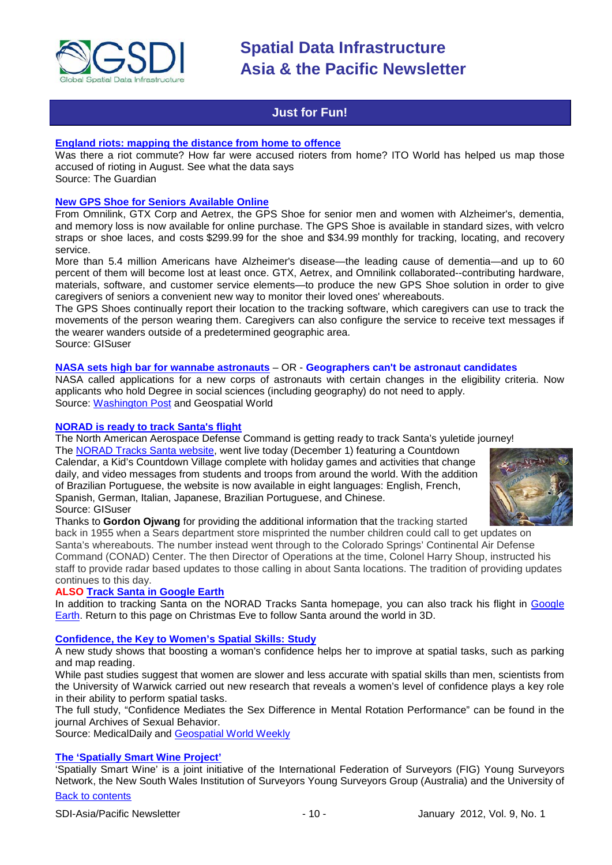

### **Just for Fun!**

#### <span id="page-9-0"></span>**[England riots: mapping the distance from home to offence](http://www.guardian.co.uk/uk/datablog/2011/dec/05/england-riots-distance-travelled-map?newsfeed=true)**

Was there a riot commute? How far were accused rioters from home? ITO World has helped us map those accused of rioting in August. See what the data says Source: The Guardian

#### **[New GPS Shoe for Seniors Available Online](http://www.gisuser.com/content/view/25312/2/)**

From Omnilink, GTX Corp and Aetrex, the GPS Shoe for senior men and women with Alzheimer's, dementia, and memory loss is now available for online purchase. The GPS Shoe is available in standard sizes, with velcro straps or shoe laces, and costs \$299.99 for the shoe and \$34.99 monthly for tracking, locating, and recovery service.

More than 5.4 million Americans have Alzheimer's disease—the leading cause of dementia—and up to 60 percent of them will become lost at least once. GTX, Aetrex, and Omnilink collaborated--contributing hardware, materials, software, and customer service elements—to produce the new GPS Shoe solution in order to give caregivers of seniors a convenient new way to monitor their loved ones' whereabouts.

The GPS Shoes continually report their location to the tracking software, which caregivers can use to track the movements of the person wearing them. Caregivers can also configure the service to receive text messages if the wearer wanders outside of a predetermined geographic area. Source: GISuser

#### **[NASA sets high bar for wannabe astronauts](http://geospatialworld.net/index.php?option=com_content&view=article&id=23555%3Ageographers-cant-be-astronaut-candidates-nasa&catid=77%3Amiscellaneous-education&Itemid=1)** – OR - **Geographers can't be astronaut candidates**

NASA called applications for a new corps of astronauts with certain changes in the eligibility criteria. Now applicants who hold Degree in social sciences (including geography) do not need to apply. Source: [Washington Post](http://www.washingtonpost.com/blogs/answer-sheet/post/nasa-sets-high-bar-for-wannabe-astronauts/2011/11/25/gIQAfNFwyN_blog.html) and Geospatial World

#### **[NORAD is ready to track Santa's flight](http://www.gisuser.com/content/view/25252/2/)**

The North American Aerospace Defense Command is getting ready to track Santa's yuletide journey!

The [NORAD Tracks Santa website,](http://www.noradsanta.org/) went live today (December 1) featuring a Countdown Calendar, a Kid's Countdown Village complete with holiday games and activities that change daily, and video messages from students and troops from around the world. With the addition of Brazilian Portuguese, the website is now available in eight languages: English, French, Spanish, German, Italian, Japanese, Brazilian Portuguese, and Chinese. Source: GISuser



Thanks to **Gordon Ojwang** for providing the additional information that the tracking started

back in 1955 when a Sears department store misprinted the number children could call to get updates on Santa's whereabouts. The number instead went through to the Colorado Springs' Continental Air Defense Command (CONAD) Center. The then Director of Operations at the time, Colonel Harry Shoup, instructed his staff to provide radar based updates to those calling in about Santa locations. The tradition of providing updates continues to this day.

#### **ALSO [Track Santa in Google Earth](http://www.noradsanta.org/en/track3d.html)**

In addition to tracking Santa on the NORAD Tracks Santa homepage, you can also track his flight in [Google](http://www.google.com/earth/index.html)  [Earth.](http://www.google.com/earth/index.html) Return to this page on Christmas Eve to follow Santa around the world in 3D.

#### **[Confidence, the Key to Women's Spatial Skills: Study](http://www.medicaldaily.com/news/20111205/8103/boosting-a-womans-confidence-helps-her-to-be-better-at-spatial-tasks-womens-spatial-tasks-zachary.htm)**

A new study shows that boosting a woman's confidence helps her to improve at spatial tasks, such as parking and map reading.

While past studies suggest that women are slower and less accurate with spatial skills than men, scientists from the University of Warwick carried out new research that reveals a women's level of confidence plays a key role in their ability to perform spatial tasks.

The full study, "Confidence Mediates the Sex Difference in Mental Rotation Performance" can be found in the journal Archives of Sexual Behavior.

Source: MedicalDaily and [Geospatial World Weekly](http://geospatialworld.net/index.php?option=com_content&view=article&id=23615%3Aconfidence-key-to-womens-spatial-skills-study&catid=74%3Amiscellaneous-research&Itemid=1)

#### **[The 'Spatially Smart Wine Project'](http://mycoordinates.org/spatially-smart-wine/)**

'Spatially Smart Wine' is a joint initiative of the International Federation of Surveyors (FIG) Young Surveyors Network, the New South Wales Institution of Surveyors Young Surveyors Group (Australia) and the University of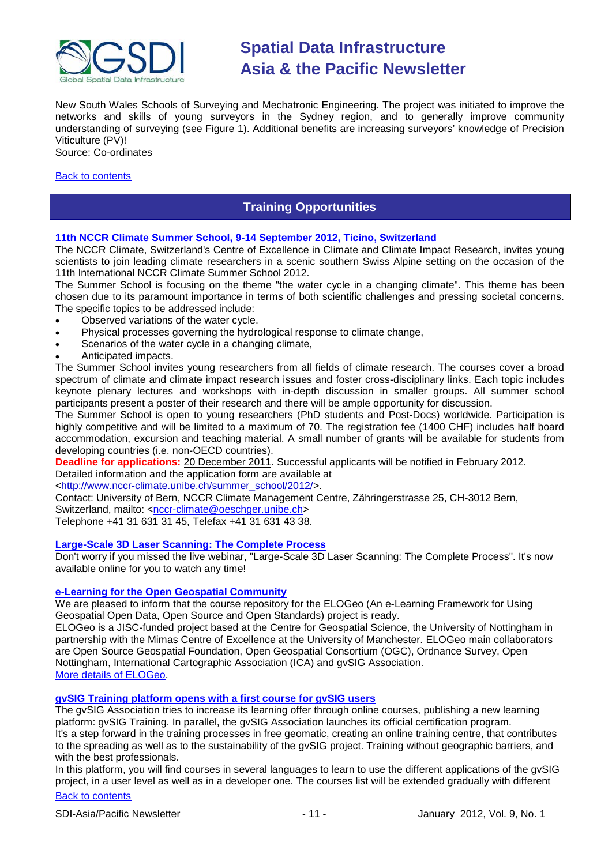

New South Wales Schools of Surveying and Mechatronic Engineering. The project was initiated to improve the networks and skills of young surveyors in the Sydney region, and to generally improve community understanding of surveying (see Figure 1). Additional benefits are increasing surveyors' knowledge of Precision Viticulture (PV)!

Source: Co-ordinates

#### <span id="page-10-0"></span>[Back to contents](#page-0-0)

## **Training Opportunities**

#### **11th NCCR Climate Summer School, 9-14 September 2012, Ticino, Switzerland**

The NCCR Climate, Switzerland's Centre of Excellence in Climate and Climate Impact Research, invites young scientists to join leading climate researchers in a scenic southern Swiss Alpine setting on the occasion of the 11th International NCCR Climate Summer School 2012.

The Summer School is focusing on the theme "the water cycle in a changing climate". This theme has been chosen due to its paramount importance in terms of both scientific challenges and pressing societal concerns. The specific topics to be addressed include:

- Observed variations of the water cycle.
- Physical processes governing the hydrological response to climate change,
- Scenarios of the water cycle in a changing climate,
- Anticipated impacts.

The Summer School invites young researchers from all fields of climate research. The courses cover a broad spectrum of climate and climate impact research issues and foster cross-disciplinary links. Each topic includes keynote plenary lectures and workshops with in-depth discussion in smaller groups. All summer school participants present a poster of their research and there will be ample opportunity for discussion.

The Summer School is open to young researchers (PhD students and Post-Docs) worldwide. Participation is highly competitive and will be limited to a maximum of 70. The registration fee (1400 CHF) includes half board accommodation, excursion and teaching material. A small number of grants will be available for students from developing countries (i.e. non-OECD countries).

**Deadline for applications:** 20 December 2011. Successful applicants will be notified in February 2012. Detailed information and the application form are available at

[<http://www.nccr-climate.unibe.ch/summer\\_school/2012/>](http://www.nccr-climate.unibe.ch/summer_school/2012/).

Contact: University of Bern, NCCR Climate Management Centre, Zähringerstrasse 25, CH-3012 Bern, Switzerland, mailto: [<nccr-climate@oeschger.unibe.ch>](mailto:nccr-climate@oeschger.unibe.ch)

Telephone +41 31 631 31 45, Telefax +41 31 631 43 38.

#### **[Large-Scale 3D Laser Scanning: The Complete Process](http://www.faro.com/site/resources/details/1373?CampaignId=70170000000bbwr)**

Don't worry if you missed the live webinar, "Large-Scale 3D Laser Scanning: The Complete Process". It's now available online for you to watch any time!

#### **[e-Learning for the Open Geospatial Community](http://elogeo.nottingham.ac.uk/xmlui)**

We are pleased to inform that the course repository for the ELOGeo (An e-Learning Framework for Using Geospatial Open Data, Open Source and Open Standards) project is ready.

ELOGeo is a JISC-funded project based at the Centre for Geospatial Science, the University of Nottingham in partnership with the Mimas Centre of Excellence at the University of Manchester. ELOGeo main collaborators are Open Source Geospatial Foundation, Open Geospatial Consortium (OGC), Ordnance Survey, Open Nottingham, International Cartographic Association (ICA) and gvSIG Association. [More details of ELOGeo.](http://elogeo.nottingham.ac.uk/index.html)

### **gvSIG Training platform opens with a first course for gvSIG users**

The gvSIG Association tries to increase its learning offer through online courses, publishing a new learning platform: gvSIG Training. In parallel, the gvSIG Association launches its official certification program. It's a step forward in the training processes in free geomatic, creating an online training centre, that contributes to the spreading as well as to the sustainability of the gvSIG project. Training without geographic barriers, and with the best professionals.

In this platform, you will find courses in several languages to learn to use the different applications of the gvSIG project, in a user level as well as in a developer one. The courses list will be extended gradually with different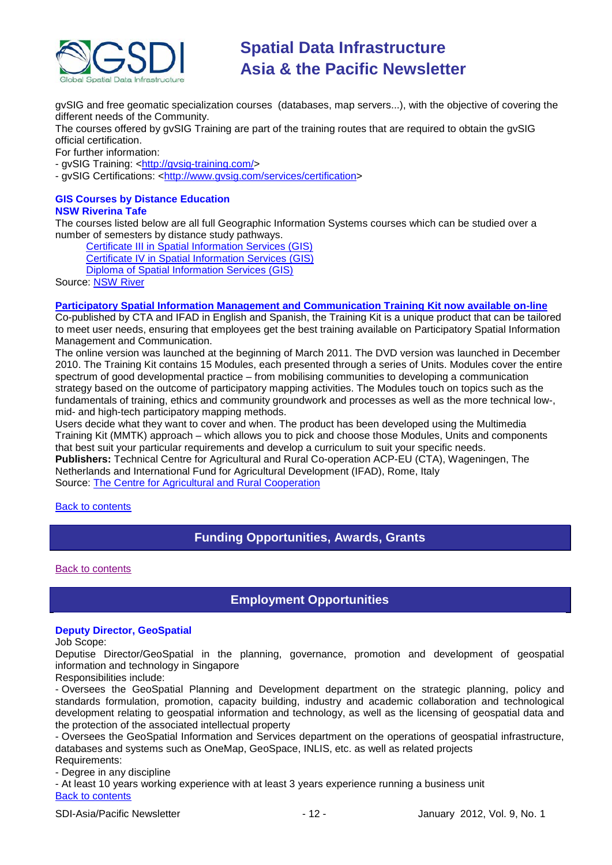

gvSIG and free geomatic specialization courses (databases, map servers...), with the objective of covering the different needs of the Community.

The courses offered by gvSIG Training are part of the training routes that are required to obtain the gvSIG official certification.

For further information:

- gvSIG Training: [<http://gvsig-training.com/>](http://gvsig-training.com/)

- gvSIG Certifications: [<http://www.gvsig.com/services/certification>](http://www.gvsig.com/services/certification)

#### **GIS Courses by Distance Education NSW Riverina Tafe**

The courses listed below are all full Geographic Information Systems courses which can be studied over a number of semesters by distance study pathways.

[Certificate III in Spatial Information Services \(GIS\)](http://www.rit.tafensw.edu.au/nec/nrme/giscourses#Cert III in Spatial Information Services (CPP30109))

[Certificate IV in Spatial Information Services \(GIS\)](http://www.rit.tafensw.edu.au/nec/nrme/giscourses#Cert IV in Spatial Information Services (CPP40209))

[Diploma of Spatial Information Services \(GIS\)](http://www.rit.tafensw.edu.au/nec/nrme/giscourses#Diploma of Spatial Information Services (CPP50207))

Sourc[e: NSW River](http://www.rit.tafensw.edu.au/nec/nrme/giscourses)

#### **[Participatory Spatial Information Management and Communication Training Kit now available on-line](http://www.cta.int/en/About-us/CTA-news/Participatory-Spatial-Information-Management-and-Communication-Training-Kit-now-available-on-line)**

Co-published by CTA and IFAD in English and Spanish, the Training Kit is a unique product that can be tailored to meet user needs, ensuring that employees get the best training available on Participatory Spatial Information Management and Communication.

The [online version](http://pgis-tk.cta.int/) was launched at the beginning of March 2011. The DVD version was launched in December 2010. The Training Kit contains 15 Modules, each presented through a series of Units. Modules cover the entire spectrum of good developmental practice – from mobilising communities to developing a communication strategy based on the outcome of participatory mapping activities. The Modules touch on topics such as the fundamentals of training, ethics and community groundwork and processes as well as the more technical low-, mid- and high-tech participatory mapping methods.

Users decide what they want to cover and when. The product has been developed using the Multimedia Training Kit (MMTK) approach – which allows you to pick and choose those Modules, Units and components that best suit your particular requirements and develop a curriculum to suit your specific needs. **Publishers:** Technical Centre for Agricultural and Rural Co-operation ACP-EU (CTA), Wageningen, The Netherlands and International Fund for Agricultural Development (IFAD), Rome, Italy Source: [The Centre for Agricultural and Rural Cooperation](http://www.cta.int/en/About-us/Who-we-are)

<span id="page-11-0"></span>[Back to contents](#page-0-0)

## **Funding Opportunities, Awards, Grants**

<span id="page-11-1"></span>[Back to contents](#page-0-0)

## **Employment Opportunities**

#### **Deputy Director, GeoSpatial**

Job Scope:

Deputise Director/GeoSpatial in the planning, governance, promotion and development of geospatial information and technology in Singapore

Responsibilities include:

- Oversees the GeoSpatial Planning and Development department on the strategic planning, policy and standards formulation, promotion, capacity building, industry and academic collaboration and technological development relating to geospatial information and technology, as well as the licensing of geospatial data and the protection of the associated intellectual property

- Oversees the GeoSpatial Information and Services department on the operations of geospatial infrastructure, databases and systems such as OneMap, GeoSpace, INLIS, etc. as well as related projects Requirements:

- Degree in any discipline

[Back to contents](#page-0-0) - At least 10 years working experience with at least 3 years experience running a business unit

SDI-Asia/Pacific Newsletter  $\sim$  12 - January 2012, Vol. 9, No. 1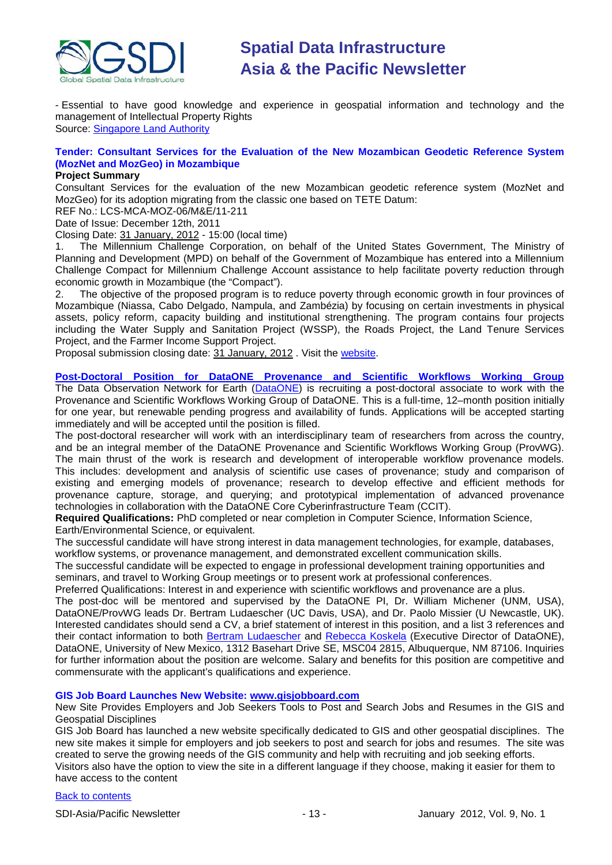

- Essential to have good knowledge and experience in geospatial information and technology and the management of Intellectual Property Rights Source: [Singapore Land Authority](http://sg.jobsdb.com/SG/EN/Search/JobAdSingleDetail?jobsIdList=400003000842651&sr=1)

### **Tender: Consultant Services for the Evaluation of the New Mozambican Geodetic Reference System (MozNet and MozGeo) in Mozambique**

#### **Project Summary**

Consultant Services for the evaluation of the new Mozambican geodetic reference system (MozNet and MozGeo) for its adoption migrating from the classic one based on TETE Datum:

REF No.: LCS-MCA-MOZ-06/M&E/11-211

Date of Issue: December 12th, 2011

Closing Date: 31 January, 2012 - 15:00 (local time)

1. The Millennium Challenge Corporation, on behalf of the United States Government, The Ministry of Planning and Development (MPD) on behalf of the Government of Mozambique has entered into a Millennium Challenge Compact for Millennium Challenge Account assistance to help facilitate poverty reduction through economic growth in Mozambique (the "Compact").<br>2. The objective of the proposed program is to

The objective of the proposed program is to reduce poverty through economic growth in four provinces of Mozambique (Niassa, Cabo Delgado, Nampula, and Zambézia) by focusing on certain investments in physical assets, policy reform, capacity building and institutional strengthening. The program contains four projects including the Water Supply and Sanitation Project (WSSP), the Roads Project, the Land Tenure Services Project, and the Farmer Income Support Project.

Proposal submission closing date: 31 January, 2012 . Visit the [website.](http://www.devex.com/en/projects/consultant-services-for-the-evaluation-of-the-new-mozambican-geodetic-reference-system-moznet-and-mozgeo-in-mozambique)

**[Post-Doctoral Position for DataONE Provenance and Scientific Workflows Working Group](https://www.dataone.org/content/post-doctoral-position-dataone-provenance-and-scientific-workflows-working-group)** The Data Observation Network for Earth [\(DataONE\)](http://dataone.org/) is recruiting a post-doctoral associate to work with the Provenance and Scientific Workflows Working Group of DataONE. This is a full-time, 12–month position initially for one year, but renewable pending progress and availability of funds. Applications will be accepted starting immediately and will be accepted until the position is filled.

The post-doctoral researcher will work with an interdisciplinary team of researchers from across the country, and be an integral member of the DataONE Provenance and Scientific Workflows Working Group (ProvWG). The main thrust of the work is research and development of interoperable workflow provenance models. This includes: development and analysis of scientific use cases of provenance; study and comparison of existing and emerging models of provenance; research to develop effective and efficient methods for provenance capture, storage, and querying; and prototypical implementation of advanced provenance technologies in collaboration with the DataONE Core Cyberinfrastructure Team (CCIT).

**Required Qualifications:** PhD completed or near completion in Computer Science, Information Science, Earth/Environmental Science, or equivalent.

The successful candidate will have strong interest in data management technologies, for example, databases, workflow systems, or provenance management, and demonstrated excellent communication skills.

The successful candidate will be expected to engage in professional development training opportunities and seminars, and travel to Working Group meetings or to present work at professional conferences.

Preferred Qualifications: Interest in and experience with scientific workflows and provenance are a plus.

The post-doc will be mentored and supervised by the DataONE PI, Dr. William Michener (UNM, USA), DataONE/ProvWG leads Dr. Bertram Ludaescher (UC Davis, USA), and Dr. Paolo Missier (U Newcastle, UK). Interested candidates should send a CV, a brief statement of interest in this position, and a list 3 references and their contact information to both [Bertram Ludaescher](mailto:ludaesch@ucdavis.edu) and [Rebecca Koskela](mailto:rkoskela@unm.edu) (Executive Director of DataONE), DataONE, University of New Mexico, 1312 Basehart Drive SE, MSC04 2815, Albuquerque, NM 87106. Inquiries for further information about the position are welcome. Salary and benefits for this position are competitive and commensurate with the applicant's qualifications and experience.

#### **GIS Job Board Launches New Website: [www.gisjobboard.com](http://www.gisjobboard.com/)**

New Site Provides Employers and Job Seekers Tools to Post and Search Jobs and Resumes in the GIS and Geospatial Disciplines

GIS Job Board has launched a new website specifically dedicated to GIS and other geospatial disciplines. The new site makes it simple for employers and job seekers to post and search for jobs and resumes. The site was created to serve the growing needs of the GIS community and help with recruiting and job seeking efforts.

Visitors also have the option to view the site in a different language if they choose, making it easier for them to have access to the content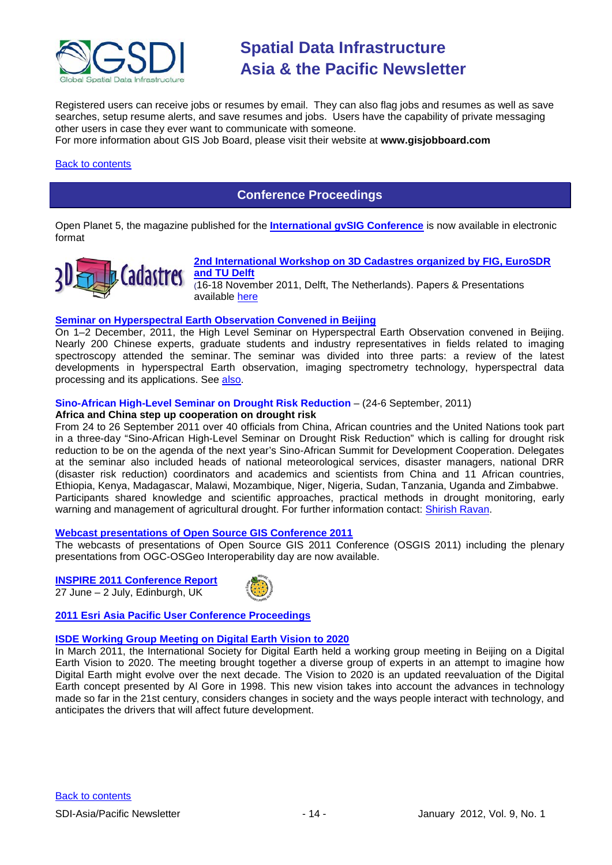

Registered users can receive jobs or resumes by email. They can also flag jobs and resumes as well as save searches, setup resume alerts, and save resumes and jobs. Users have the capability of private messaging other users in case they ever want to communicate with someone.

For more information about GIS Job Board, please visit their website at **[www.gisjobboard.com](http://www.gisjobboard.com/)**

#### <span id="page-13-0"></span>[Back to contents](#page-0-0)

## **Conference Proceedings**

[Open Planet 5, the magazine published for the](http://jornadas.gvsig.org/descargas/magazine) **International gvSIG Conference** is now available in electronic [format](http://jornadas.gvsig.org/descargas/magazine)



#### **[2nd International Workshop on 3D Cadastres organized by FIG, EuroSDR](http://www.3dcadastres2011.nl/)  [and TU Delft](http://www.3dcadastres2011.nl/)**

(16-18 November 2011, Delft, The Netherlands). Papers & Presentations available [here](http://3dcadastres2011.nl/programme/)

#### **[Seminar on Hyperspectral Earth Observation Convened in Beijing](http://www.asmmag.com/201112162780/seminar-on-hyperspectral-earth-observation-convened-in-beijing.html)**

On 1–2 December, 2011, the High Level Seminar on Hyperspectral Earth Observation convened in Beijing. Nearly 200 Chinese experts, graduate students and industry representatives in fields related to imaging spectroscopy attended the seminar. The seminar was divided into three parts: a review of the latest developments in hyperspectral Earth observation, imaging spectrometry technology, hyperspectral data processing and its applications. See [also.](http://english.ceode.cas.cn/ns/icn/201112/t20111212_79976.html)

#### **Sino-African High-Level Seminar on Drought Risk Reduction** – (24-6 September, 2011)

#### **Africa and China step up cooperation on drought risk**

From 24 to 26 September 2011 over 40 officials from China, African countries and the United Nations took part in a three-day "Sino-African High-Level Seminar on Drought Risk Reduction" which is calling for drought risk reduction to be on the agenda of the next year's Sino-African Summit for Development Cooperation. Delegates at the seminar also included heads of national meteorological services, disaster managers, national DRR (disaster risk reduction) coordinators and academics and scientists from China and 11 African countries, Ethiopia, Kenya, Madagascar, Malawi, Mozambique, Niger, Nigeria, Sudan, Tanzania, Uganda and Zimbabwe. Participants shared knowledge and scientific approaches, practical methods in drought monitoring, early warning and management of agricultural drought. For further information contact: [Shirish Ravan.](mailto:shirish.ravan@unoosa.org)

#### **[Webcast presentations of Open Source GIS Conference 2011](http://cgs.nottingham.ac.uk/~osgis11/os_call_info.html)**

The webcasts of presentations of Open Source GIS 2011 Conference (OSGIS 2011) including the plenary presentations from OGC-OSGeo Interoperability day are now available.

**INSPIRE 2011 [Conference Report](http://www.sdimag.com/20110708150/events/event-coverage/inspire-2011-conference-report.html)** 27 June – 2 July, Edinburgh, UK



#### **[2011 Esri Asia Pacific User Conference Proceedings](http://www.geodata.com.ph/index.php?option=com_content&view=article&id=226:2011-apuc-proceedings&catid=45:new-a-events)**

#### **[ISDE Working Group Meeting on Digital Earth Vision to 2020](http://www.digitalearth-isde.org/news/Digital%20Earth%20Vision%20to%202020.html)**

<span id="page-13-1"></span>In March 2011, the International Society for Digital Earth held a working group meeting in Beijing on a Digital Earth Vision to 2020. The meeting brought together a diverse group of experts in an attempt to imagine how Digital Earth might evolve over the next decade. The Vision to 2020 is an updated reevaluation of the Digital Earth concept presented by Al Gore in 1998. This new vision takes into account the advances in technology made so far in the 21st century, considers changes in society and the ways people interact with technology, and anticipates the drivers that will affect future development.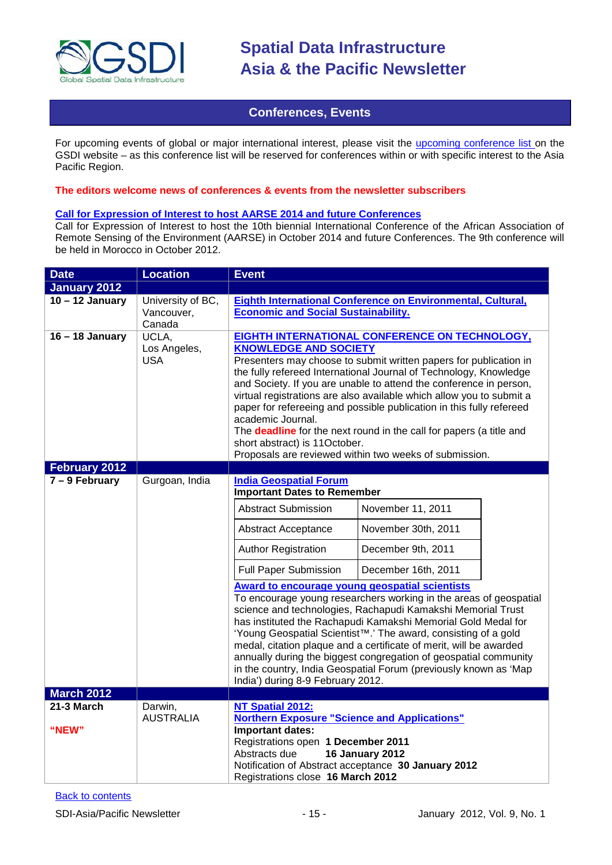

### **Conferences, Events**

For upcoming events of global or major international interest, please visit the [upcoming conference list o](http://gsdi.org/events/upcnf.asp)n the GSDI website – as this conference list will be reserved for conferences within or with specific interest to the Asia Pacific Region.

#### **The editors welcome news of conferences & events from the newsletter subscribers**

#### **[Call for Expression of Interest to host AARSE 2014 and future Conferences](http://lists.gsdi.org/pipermail/sdi-africa/2010-November/001135.html)**

Call for Expression of Interest to host the 10th biennial International Conference of the African Association of Remote Sensing of the Environment (AARSE) in October 2014 and future Conferences. The 9th conference will be held in Morocco in October 2012.

| <b>Date</b>         | <b>Location</b>                           | <b>Event</b>                                                                                                                                                                                                                                                                         |                                                                                                                                                                                                                                                                                                                                                                                                                                                                                                                                                                                         |  |
|---------------------|-------------------------------------------|--------------------------------------------------------------------------------------------------------------------------------------------------------------------------------------------------------------------------------------------------------------------------------------|-----------------------------------------------------------------------------------------------------------------------------------------------------------------------------------------------------------------------------------------------------------------------------------------------------------------------------------------------------------------------------------------------------------------------------------------------------------------------------------------------------------------------------------------------------------------------------------------|--|
| <b>January 2012</b> |                                           |                                                                                                                                                                                                                                                                                      |                                                                                                                                                                                                                                                                                                                                                                                                                                                                                                                                                                                         |  |
| $10 - 12$ January   | University of BC,<br>Vancouver,<br>Canada | <b>Economic and Social Sustainability.</b>                                                                                                                                                                                                                                           | Eighth International Conference on Environmental, Cultural,                                                                                                                                                                                                                                                                                                                                                                                                                                                                                                                             |  |
| $16 - 18$ January   | UCLA,<br>Los Angeles,<br><b>USA</b>       | <b>KNOWLEDGE AND SOCIETY</b><br>academic Journal.<br>short abstract) is 11October.                                                                                                                                                                                                   | EIGHTH INTERNATIONAL CONFERENCE ON TECHNOLOGY,<br>Presenters may choose to submit written papers for publication in<br>the fully refereed International Journal of Technology, Knowledge<br>and Society. If you are unable to attend the conference in person,<br>virtual registrations are also available which allow you to submit a<br>paper for refereeing and possible publication in this fully refereed<br>The <b>deadline</b> for the next round in the call for papers (a title and<br>Proposals are reviewed within two weeks of submission.                                  |  |
| February 2012       |                                           |                                                                                                                                                                                                                                                                                      |                                                                                                                                                                                                                                                                                                                                                                                                                                                                                                                                                                                         |  |
| $7 - 9$ February    | Gurgoan, India                            | <b>India Geospatial Forum</b><br><b>Important Dates to Remember</b><br><b>Abstract Submission</b><br>Abstract Acceptance<br><b>Author Registration</b><br><b>Full Paper Submission</b><br><b>Award to encourage young geospatial scientists</b><br>India') during 8-9 February 2012. | November 11, 2011<br>November 30th, 2011<br>December 9th, 2011<br>December 16th, 2011<br>To encourage young researchers working in the areas of geospatial<br>science and technologies, Rachapudi Kamakshi Memorial Trust<br>has instituted the Rachapudi Kamakshi Memorial Gold Medal for<br>'Young Geospatial Scientist <sup>™</sup> .' The award, consisting of a gold<br>medal, citation plaque and a certificate of merit, will be awarded<br>annually during the biggest congregation of geospatial community<br>in the country, India Geospatial Forum (previously known as 'Map |  |
| <b>March 2012</b>   |                                           |                                                                                                                                                                                                                                                                                      |                                                                                                                                                                                                                                                                                                                                                                                                                                                                                                                                                                                         |  |
| 21-3 March<br>"NEW" | Darwin,<br><b>AUSTRALIA</b>               | NT Spatial 2012:<br><b>Northern Exposure "Science and Applications"</b><br><b>Important dates:</b><br>Registrations open 1 December 2011<br>Abstracts due<br>Notification of Abstract acceptance 30 January 2012<br>Registrations close 16 March 2012                                | <b>16 January 2012</b>                                                                                                                                                                                                                                                                                                                                                                                                                                                                                                                                                                  |  |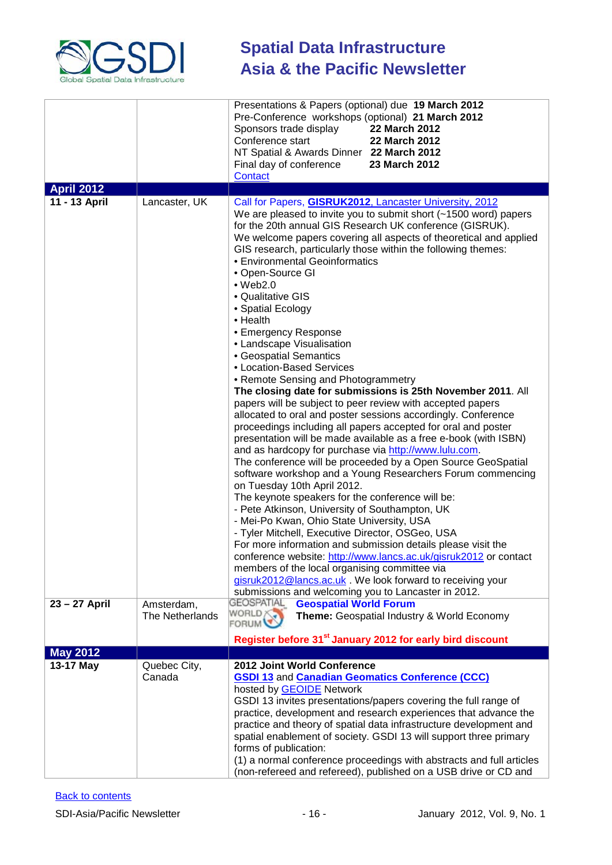

|                   |                        | Presentations & Papers (optional) due 19 March 2012<br>Pre-Conference workshops (optional) 21 March 2012<br>Sponsors trade display<br>22 March 2012<br>Conference start<br>22 March 2012<br>NT Spatial & Awards Dinner 22 March 2012<br>Final day of conference<br>23 March 2012<br>Contact                                                                                                                                                                                                                                                                                                                                                                                                                                                                                                                                                                                                                                                                                                                                                                                                                                                                         |
|-------------------|------------------------|---------------------------------------------------------------------------------------------------------------------------------------------------------------------------------------------------------------------------------------------------------------------------------------------------------------------------------------------------------------------------------------------------------------------------------------------------------------------------------------------------------------------------------------------------------------------------------------------------------------------------------------------------------------------------------------------------------------------------------------------------------------------------------------------------------------------------------------------------------------------------------------------------------------------------------------------------------------------------------------------------------------------------------------------------------------------------------------------------------------------------------------------------------------------|
| <b>April 2012</b> |                        |                                                                                                                                                                                                                                                                                                                                                                                                                                                                                                                                                                                                                                                                                                                                                                                                                                                                                                                                                                                                                                                                                                                                                                     |
| 11 - 13 April     | Lancaster, UK          | Call for Papers, GISRUK2012, Lancaster University, 2012<br>We are pleased to invite you to submit short (~1500 word) papers<br>for the 20th annual GIS Research UK conference (GISRUK).<br>We welcome papers covering all aspects of theoretical and applied<br>GIS research, particularly those within the following themes:<br>• Environmental Geoinformatics<br>• Open-Source GI<br>$\bullet$ Web2.0<br>• Qualitative GIS<br>• Spatial Ecology<br>$\bullet$ Health<br>• Emergency Response<br>• Landscape Visualisation<br>• Geospatial Semantics<br>• Location-Based Services                                                                                                                                                                                                                                                                                                                                                                                                                                                                                                                                                                                   |
| 23 - 27 April     | Amsterdam,             | • Remote Sensing and Photogrammetry<br>The closing date for submissions is 25th November 2011. All<br>papers will be subject to peer review with accepted papers<br>allocated to oral and poster sessions accordingly. Conference<br>proceedings including all papers accepted for oral and poster<br>presentation will be made available as a free e-book (with ISBN)<br>and as hardcopy for purchase via http://www.lulu.com.<br>The conference will be proceeded by a Open Source GeoSpatial<br>software workshop and a Young Researchers Forum commencing<br>on Tuesday 10th April 2012.<br>The keynote speakers for the conference will be:<br>- Pete Atkinson, University of Southampton, UK<br>- Mei-Po Kwan, Ohio State University, USA<br>- Tyler Mitchell, Executive Director, OSGeo, USA<br>For more information and submission details please visit the<br>conference website: http://www.lancs.ac.uk/gisruk2012 or contact<br>members of the local organising committee via<br>gisruk2012@lancs.ac.uk . We look forward to receiving your<br>submissions and welcoming you to Lancaster in 2012.<br><b>GEOSPATIAL</b><br><b>Geospatial World Forum</b> |
|                   | The Netherlands        | WORLD <b>A</b><br>Theme: Geospatial Industry & World Economy<br><b>FORUM</b><br>Register before 31 <sup>st</sup> January 2012 for early bird discount                                                                                                                                                                                                                                                                                                                                                                                                                                                                                                                                                                                                                                                                                                                                                                                                                                                                                                                                                                                                               |
| <b>May 2012</b>   |                        |                                                                                                                                                                                                                                                                                                                                                                                                                                                                                                                                                                                                                                                                                                                                                                                                                                                                                                                                                                                                                                                                                                                                                                     |
| 13-17 May         | Quebec City,<br>Canada | 2012 Joint World Conference<br><b>GSDI 13 and Canadian Geomatics Conference (CCC)</b><br>hosted by GEOIDE Network<br>GSDI 13 invites presentations/papers covering the full range of<br>practice, development and research experiences that advance the<br>practice and theory of spatial data infrastructure development and<br>spatial enablement of society. GSDI 13 will support three primary<br>forms of publication:<br>(1) a normal conference proceedings with abstracts and full articles<br>(non-refereed and refereed), published on a USB drive or CD and                                                                                                                                                                                                                                                                                                                                                                                                                                                                                                                                                                                              |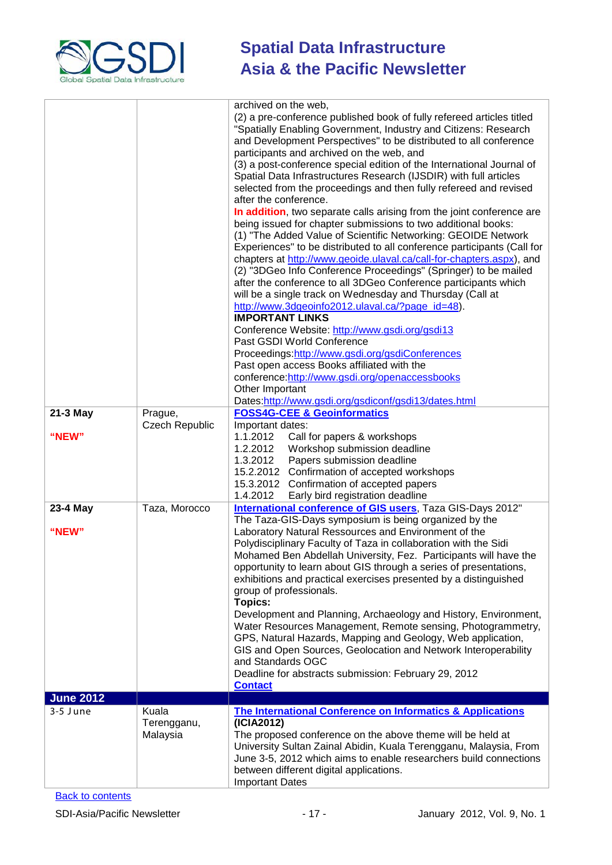

| 21-3 May          | Prague,                          | archived on the web,<br>(2) a pre-conference published book of fully refereed articles titled<br>"Spatially Enabling Government, Industry and Citizens: Research<br>and Development Perspectives" to be distributed to all conference<br>participants and archived on the web, and<br>(3) a post-conference special edition of the International Journal of<br>Spatial Data Infrastructures Research (IJSDIR) with full articles<br>selected from the proceedings and then fully refereed and revised<br>after the conference.<br>In addition, two separate calls arising from the joint conference are<br>being issued for chapter submissions to two additional books:<br>(1) "The Added Value of Scientific Networking: GEOIDE Network<br>Experiences" to be distributed to all conference participants (Call for<br>chapters at http://www.geoide.ulaval.ca/call-for-chapters.aspx), and<br>(2) "3DGeo Info Conference Proceedings" (Springer) to be mailed<br>after the conference to all 3DGeo Conference participants which<br>will be a single track on Wednesday and Thursday (Call at<br>http://www.3dgeoinfo2012.ulaval.ca/?page_id=48).<br><b>IMPORTANT LINKS</b><br>Conference Website: http://www.gsdi.org/gsdi13<br>Past GSDI World Conference<br>Proceedings:http://www.gsdi.org/gsdiConferences<br>Past open access Books affiliated with the<br>conference:http://www.gsdi.org/openaccessbooks<br>Other Important<br>Dates:http://www.gsdi.org/gsdiconf/gsdi13/dates.html<br><b>FOSS4G-CEE &amp; Geoinformatics</b> |
|-------------------|----------------------------------|---------------------------------------------------------------------------------------------------------------------------------------------------------------------------------------------------------------------------------------------------------------------------------------------------------------------------------------------------------------------------------------------------------------------------------------------------------------------------------------------------------------------------------------------------------------------------------------------------------------------------------------------------------------------------------------------------------------------------------------------------------------------------------------------------------------------------------------------------------------------------------------------------------------------------------------------------------------------------------------------------------------------------------------------------------------------------------------------------------------------------------------------------------------------------------------------------------------------------------------------------------------------------------------------------------------------------------------------------------------------------------------------------------------------------------------------------------------------------------------------------------------------------------------|
|                   | Czech Republic                   | Important dates:                                                                                                                                                                                                                                                                                                                                                                                                                                                                                                                                                                                                                                                                                                                                                                                                                                                                                                                                                                                                                                                                                                                                                                                                                                                                                                                                                                                                                                                                                                                      |
| "NEW"             |                                  | 1.1.2012<br>Call for papers & workshops<br>1.2.2012<br>Workshop submission deadline<br>1.3.2012<br>Papers submission deadline<br>15.2.2012 Confirmation of accepted workshops<br>15.3.2012 Confirmation of accepted papers<br>1.4.2012<br>Early bird registration deadline                                                                                                                                                                                                                                                                                                                                                                                                                                                                                                                                                                                                                                                                                                                                                                                                                                                                                                                                                                                                                                                                                                                                                                                                                                                            |
| 23-4 May<br>"NEW" | Taza, Morocco                    | International conference of GIS users, Taza GIS-Days 2012"<br>The Taza-GIS-Days symposium is being organized by the<br>Laboratory Natural Ressources and Environment of the<br>Polydisciplinary Faculty of Taza in collaboration with the Sidi<br>Mohamed Ben Abdellah University, Fez. Participants will have the<br>opportunity to learn about GIS through a series of presentations,<br>exhibitions and practical exercises presented by a distinguished                                                                                                                                                                                                                                                                                                                                                                                                                                                                                                                                                                                                                                                                                                                                                                                                                                                                                                                                                                                                                                                                           |
|                   |                                  | group of professionals.<br><b>Topics:</b><br>Development and Planning, Archaeology and History, Environment,<br>Water Resources Management, Remote sensing, Photogrammetry,<br>GPS, Natural Hazards, Mapping and Geology, Web application,<br>GIS and Open Sources, Geolocation and Network Interoperability<br>and Standards OGC<br>Deadline for abstracts submission: February 29, 2012<br><b>Contact</b>                                                                                                                                                                                                                                                                                                                                                                                                                                                                                                                                                                                                                                                                                                                                                                                                                                                                                                                                                                                                                                                                                                                           |
| <b>June 2012</b>  |                                  |                                                                                                                                                                                                                                                                                                                                                                                                                                                                                                                                                                                                                                                                                                                                                                                                                                                                                                                                                                                                                                                                                                                                                                                                                                                                                                                                                                                                                                                                                                                                       |
| 3-5 June          | Kuala<br>Terengganu,<br>Malaysia | <b>The International Conference on Informatics &amp; Applications</b><br>(ICIA2012)<br>The proposed conference on the above theme will be held at<br>University Sultan Zainal Abidin, Kuala Terengganu, Malaysia, From<br>June 3-5, 2012 which aims to enable researchers build connections<br>between different digital applications.<br><b>Important Dates</b>                                                                                                                                                                                                                                                                                                                                                                                                                                                                                                                                                                                                                                                                                                                                                                                                                                                                                                                                                                                                                                                                                                                                                                      |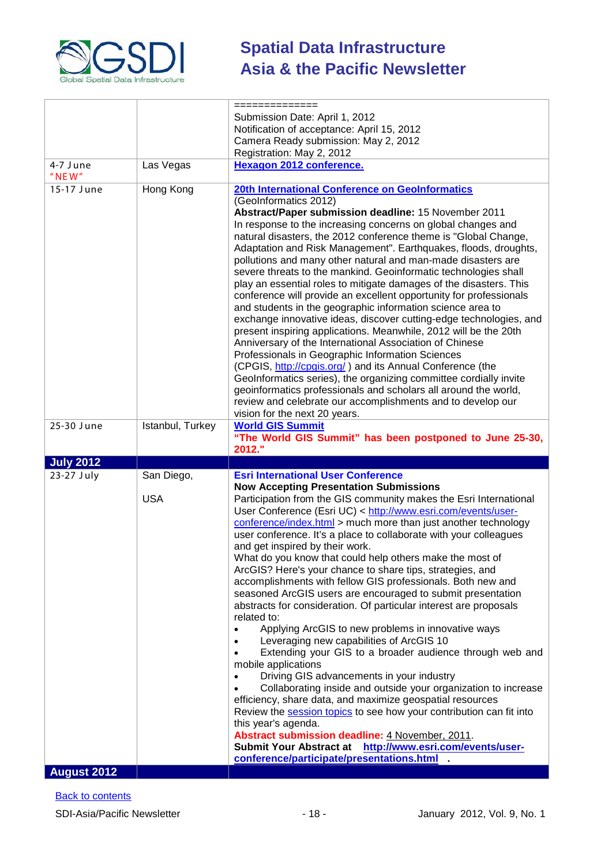

|                    |                  | ==============                                                                                                                           |  |
|--------------------|------------------|------------------------------------------------------------------------------------------------------------------------------------------|--|
|                    |                  | Submission Date: April 1, 2012                                                                                                           |  |
|                    |                  | Notification of acceptance: April 15, 2012                                                                                               |  |
|                    |                  | Camera Ready submission: May 2, 2012                                                                                                     |  |
| 4-7 June           | Las Vegas        | Registration: May 2, 2012<br><b>Hexagon 2012 conference.</b>                                                                             |  |
| $"$ NEW"           |                  |                                                                                                                                          |  |
| 15-17 June         | Hong Kong        | 20th International Conference on GeoInformatics                                                                                          |  |
|                    |                  | (GeoInformatics 2012)<br>Abstract/Paper submission deadline: 15 November 2011                                                            |  |
|                    |                  | In response to the increasing concerns on global changes and                                                                             |  |
|                    |                  | natural disasters, the 2012 conference theme is "Global Change,                                                                          |  |
|                    |                  | Adaptation and Risk Management". Earthquakes, floods, droughts,                                                                          |  |
|                    |                  | pollutions and many other natural and man-made disasters are                                                                             |  |
|                    |                  | severe threats to the mankind. Geoinformatic technologies shall                                                                          |  |
|                    |                  | play an essential roles to mitigate damages of the disasters. This<br>conference will provide an excellent opportunity for professionals |  |
|                    |                  | and students in the geographic information science area to                                                                               |  |
|                    |                  | exchange innovative ideas, discover cutting-edge technologies, and                                                                       |  |
|                    |                  | present inspiring applications. Meanwhile, 2012 will be the 20th                                                                         |  |
|                    |                  | Anniversary of the International Association of Chinese                                                                                  |  |
|                    |                  | Professionals in Geographic Information Sciences                                                                                         |  |
|                    |                  | (CPGIS, http://cpgis.org/) and its Annual Conference (the<br>GeoInformatics series), the organizing committee cordially invite           |  |
|                    |                  | geoinformatics professionals and scholars all around the world,                                                                          |  |
|                    |                  | review and celebrate our accomplishments and to develop our                                                                              |  |
|                    |                  | vision for the next 20 years.                                                                                                            |  |
| 25-30 June         | Istanbul, Turkey | <b>World GIS Summit</b>                                                                                                                  |  |
|                    |                  | "The World GIS Summit" has been postponed to June 25-30,<br>2012."                                                                       |  |
| <b>July 2012</b>   |                  |                                                                                                                                          |  |
| 23-27 July         | San Diego,       | <b>Esri International User Conference</b>                                                                                                |  |
|                    |                  | <b>Now Accepting Presentation Submissions</b>                                                                                            |  |
|                    | <b>USA</b>       | Participation from the GIS community makes the Esri International                                                                        |  |
|                    |                  | User Conference (Esri UC) < http://www.esri.com/events/user-<br>conference/index.html > much more than just another technology           |  |
|                    |                  | user conference. It's a place to collaborate with your colleagues                                                                        |  |
|                    |                  | and get inspired by their work.                                                                                                          |  |
|                    |                  | What do you know that could help others make the most of                                                                                 |  |
|                    |                  | ArcGIS? Here's your chance to share tips, strategies, and                                                                                |  |
|                    |                  | accomplishments with fellow GIS professionals. Both new and<br>seasoned ArcGIS users are encouraged to submit presentation               |  |
|                    |                  | abstracts for consideration. Of particular interest are proposals                                                                        |  |
|                    |                  | related to:                                                                                                                              |  |
|                    |                  |                                                                                                                                          |  |
|                    |                  | Applying ArcGIS to new problems in innovative ways                                                                                       |  |
|                    |                  | Leveraging new capabilities of ArcGIS 10                                                                                                 |  |
|                    |                  | Extending your GIS to a broader audience through web and                                                                                 |  |
|                    |                  | mobile applications<br>Driving GIS advancements in your industry                                                                         |  |
|                    |                  | Collaborating inside and outside your organization to increase                                                                           |  |
|                    |                  | efficiency, share data, and maximize geospatial resources                                                                                |  |
|                    |                  | Review the session topics to see how your contribution can fit into                                                                      |  |
|                    |                  | this year's agenda.<br>Abstract submission deadline: 4 November, 2011.                                                                   |  |
|                    |                  | Submit Your Abstract at http://www.esri.com/events/user-                                                                                 |  |
| <b>August 2012</b> |                  | conference/participate/presentations.html                                                                                                |  |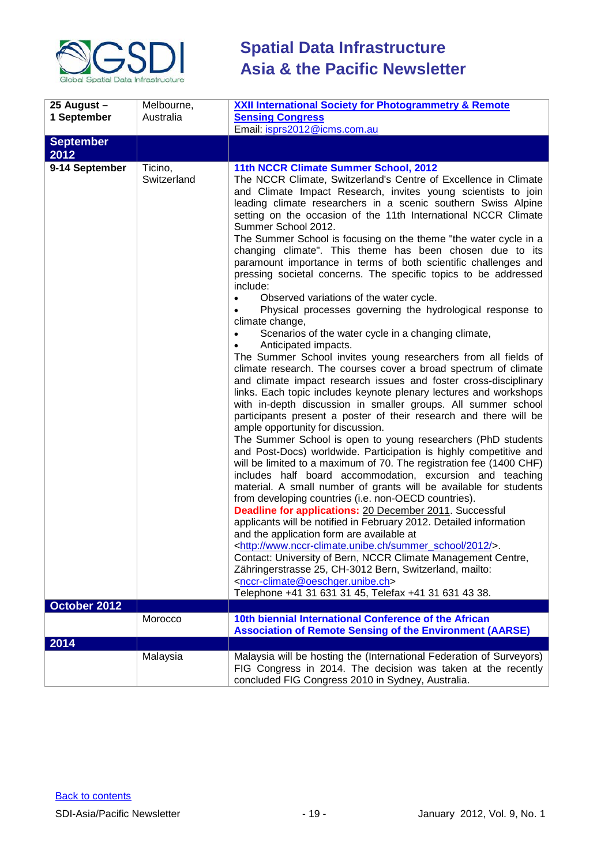

| 25 August -<br>1 September | Melbourne,<br>Australia | <b>XXII International Society for Photogrammetry &amp; Remote</b><br><b>Sensing Congress</b><br>Email: isprs2012@icms.com.au                                                                                                                                                                                                                                                                                                                                                                                                                                                                                                                                                                                                                                                                                                                                                                                                                                                                                                                                                                                                                                                                                                                                                                                                                                                                                                                                                                                                                                                                                                                                                                                                                                                                                                                                                                                                                                                                                                                                                                                                                                                                                             |
|----------------------------|-------------------------|--------------------------------------------------------------------------------------------------------------------------------------------------------------------------------------------------------------------------------------------------------------------------------------------------------------------------------------------------------------------------------------------------------------------------------------------------------------------------------------------------------------------------------------------------------------------------------------------------------------------------------------------------------------------------------------------------------------------------------------------------------------------------------------------------------------------------------------------------------------------------------------------------------------------------------------------------------------------------------------------------------------------------------------------------------------------------------------------------------------------------------------------------------------------------------------------------------------------------------------------------------------------------------------------------------------------------------------------------------------------------------------------------------------------------------------------------------------------------------------------------------------------------------------------------------------------------------------------------------------------------------------------------------------------------------------------------------------------------------------------------------------------------------------------------------------------------------------------------------------------------------------------------------------------------------------------------------------------------------------------------------------------------------------------------------------------------------------------------------------------------------------------------------------------------------------------------------------------------|
| <b>September</b><br>2012   |                         |                                                                                                                                                                                                                                                                                                                                                                                                                                                                                                                                                                                                                                                                                                                                                                                                                                                                                                                                                                                                                                                                                                                                                                                                                                                                                                                                                                                                                                                                                                                                                                                                                                                                                                                                                                                                                                                                                                                                                                                                                                                                                                                                                                                                                          |
| 9-14 September             | Ticino,<br>Switzerland  | 11th NCCR Climate Summer School, 2012<br>The NCCR Climate, Switzerland's Centre of Excellence in Climate<br>and Climate Impact Research, invites young scientists to join<br>leading climate researchers in a scenic southern Swiss Alpine<br>setting on the occasion of the 11th International NCCR Climate<br>Summer School 2012.<br>The Summer School is focusing on the theme "the water cycle in a<br>changing climate". This theme has been chosen due to its<br>paramount importance in terms of both scientific challenges and<br>pressing societal concerns. The specific topics to be addressed<br>include:<br>Observed variations of the water cycle.<br>Physical processes governing the hydrological response to<br>climate change,<br>Scenarios of the water cycle in a changing climate,<br>Anticipated impacts.<br>The Summer School invites young researchers from all fields of<br>climate research. The courses cover a broad spectrum of climate<br>and climate impact research issues and foster cross-disciplinary<br>links. Each topic includes keynote plenary lectures and workshops<br>with in-depth discussion in smaller groups. All summer school<br>participants present a poster of their research and there will be<br>ample opportunity for discussion.<br>The Summer School is open to young researchers (PhD students<br>and Post-Docs) worldwide. Participation is highly competitive and<br>will be limited to a maximum of 70. The registration fee (1400 CHF)<br>includes half board accommodation, excursion and teaching<br>material. A small number of grants will be available for students<br>from developing countries (i.e. non-OECD countries).<br><b>Deadline for applications: 20 December 2011. Successful</b><br>applicants will be notified in February 2012. Detailed information<br>and the application form are available at<br><http: 2012="" summer_school="" www.nccr-climate.unibe.ch=""></http:> .<br>Contact: University of Bern, NCCR Climate Management Centre,<br>Zähringerstrasse 25, CH-3012 Bern, Switzerland, mailto:<br><nccr-climate@oeschger.unibe.ch><br/>Telephone +41 31 631 31 45, Telefax +41 31 631 43 38.</nccr-climate@oeschger.unibe.ch> |
| October 2012               | Morocco                 | 10th biennial International Conference of the African                                                                                                                                                                                                                                                                                                                                                                                                                                                                                                                                                                                                                                                                                                                                                                                                                                                                                                                                                                                                                                                                                                                                                                                                                                                                                                                                                                                                                                                                                                                                                                                                                                                                                                                                                                                                                                                                                                                                                                                                                                                                                                                                                                    |
|                            |                         | <b>Association of Remote Sensing of the Environment (AARSE)</b>                                                                                                                                                                                                                                                                                                                                                                                                                                                                                                                                                                                                                                                                                                                                                                                                                                                                                                                                                                                                                                                                                                                                                                                                                                                                                                                                                                                                                                                                                                                                                                                                                                                                                                                                                                                                                                                                                                                                                                                                                                                                                                                                                          |
| 2014                       |                         |                                                                                                                                                                                                                                                                                                                                                                                                                                                                                                                                                                                                                                                                                                                                                                                                                                                                                                                                                                                                                                                                                                                                                                                                                                                                                                                                                                                                                                                                                                                                                                                                                                                                                                                                                                                                                                                                                                                                                                                                                                                                                                                                                                                                                          |
|                            | Malaysia                | Malaysia will be hosting the (International Federation of Surveyors)<br>FIG Congress in 2014. The decision was taken at the recently<br>concluded FIG Congress 2010 in Sydney, Australia.                                                                                                                                                                                                                                                                                                                                                                                                                                                                                                                                                                                                                                                                                                                                                                                                                                                                                                                                                                                                                                                                                                                                                                                                                                                                                                                                                                                                                                                                                                                                                                                                                                                                                                                                                                                                                                                                                                                                                                                                                                |